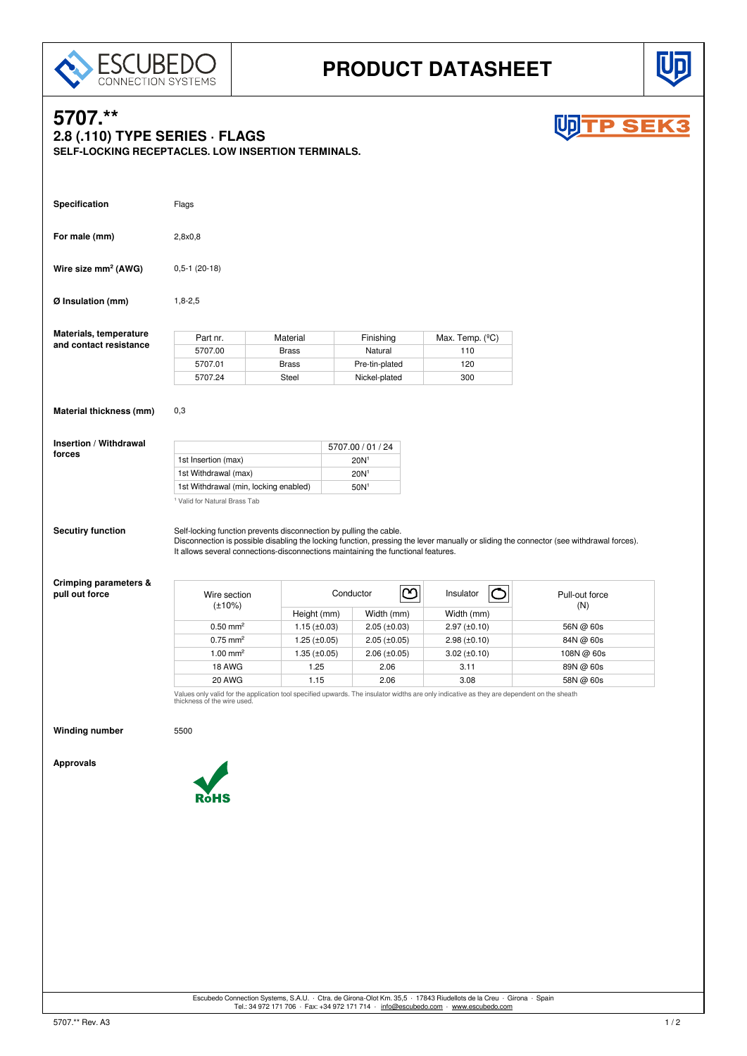



**P SEK** 

# **5707.\*\* 2.8 (.110) TYPE SERIES · FLAGS SELF-LOCKING RECEPTACLES. LOW INSERTION TERMINALS. Specification** Flags **For male (mm)** 2,8x0,8 **Wire size mm<sup>2</sup> (AWG)** 0,5-1 (20-18)

**Ø Insulation (mm)** 1,8-2,5

| Materials, temperature | Part nr. | Material     | Finishing      | Max. Temp. $(^{\circ}C)$ |
|------------------------|----------|--------------|----------------|--------------------------|
| and contact resistance | 5707.00  | <b>Brass</b> | Natural        | 110                      |
|                        | 5707.01  | <b>Brass</b> | Pre-tin-plated | 120                      |
|                        | 5707.24  | Steel        | Nickel-plated  | 300                      |

**Material thickness (mm)** 0,3

**Insertion / Withdrawal forces**

|                                          | 5707.00 / 01 / 24 |
|------------------------------------------|-------------------|
| 1st Insertion (max)                      | 20N <sup>1</sup>  |
| 1st Withdrawal (max)                     | 20N <sup>1</sup>  |
| 1st Withdrawal (min, locking enabled)    | 50N <sup>1</sup>  |
| <sup>1</sup> Valid for Natural Brass Tab |                   |

**Secutiry function** Self-locking function prevents disconnection by pulling the cable. Disconnection is possible disabling the locking function, pressing the lever manually or sliding the connector (see withdrawal forces). It allows several connections-disconnections maintaining the functional features.

### **Crimping parameters &** pull out force

| Wire section<br>$(\pm 10\%)$ | $\infty$<br>Conductor |                   | Insulator         | Pull-out force |  |
|------------------------------|-----------------------|-------------------|-------------------|----------------|--|
|                              | Height (mm)           | Width (mm)        | Width (mm)        | (N)            |  |
| $0.50 \text{ mm}^2$          | $1.15 \ (\pm 0.03)$   | $2.05 (\pm 0.03)$ | $2.97 (\pm 0.10)$ | 56N @ 60s      |  |
| $0.75 \text{ mm}^2$          | $1.25 (\pm 0.05)$     | $2.05 (\pm 0.05)$ | $2.98 (\pm 0.10)$ | 84N @ 60s      |  |
| $1.00$ mm <sup>2</sup>       | $1.35 \ (\pm 0.05)$   | $2.06 (\pm 0.05)$ | $3.02 (\pm 0.10)$ | 108N @ 60s     |  |
| 18 AWG                       | 1.25                  | 2.06              | 3.11              | 89N @ 60s      |  |
| <b>20 AWG</b>                | 1.15                  | 2.06              | 3.08              | 58N @ 60s      |  |

Values only valid for the application tool specified upwards. The insulator widths are only indicative as they are dependent on the sheath thickness of the wire used.

**Winding number** 5500

**Approvals**